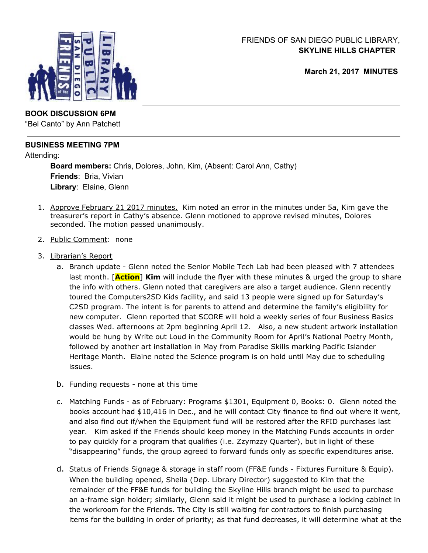## FRIENDS OF SAN DIEGO PUBLIC LIBRARY, **SKYLINE HILLS CHAPTER**

**March 21, 2017 MINUTES**



# **BOOK DISCUSSION 6PM**

"Bel Canto" by Ann Patchett

# **BUSINESS MEETING 7PM**

Attending:

**Board members:** Chris, Dolores, John, Kim, (Absent: Carol Ann, Cathy) **Friends**: Bria, Vivian **Library**: Elaine, Glenn

- 1. Approve February 21 2017 minutes. Kim noted an error in the minutes under 5a, Kim gave the treasurer's report in Cathy's absence. Glenn motioned to approve revised minutes, Dolores seconded. The motion passed unanimously.
- 2. Public Comment: none
- 3. Librarian's Report
	- a. Branch update Glenn noted the Senior Mobile Tech Lab had been pleased with 7 attendees last month. [**Action**] **Kim** will include the flyer with these minutes & urged the group to share the info with others. Glenn noted that caregivers are also a target audience. Glenn recently toured the Computers2SD Kids facility, and said 13 people were signed up for Saturday's C2SD program. The intent is for parents to attend and determine the family's eligibility for new computer. Glenn reported that SCORE will hold a weekly series of four Business Basics classes Wed. afternoons at 2pm beginning April 12. Also, a new student artwork installation would be hung by Write out Loud in the Community Room for April's National Poetry Month, followed by another art installation in May from Paradise Skills marking Pacific Islander Heritage Month. Elaine noted the Science program is on hold until May due to scheduling issues.
	- b. Funding requests none at this time
	- c. Matching Funds as of February: Programs \$1301, Equipment 0, Books: 0. Glenn noted the books account had \$10,416 in Dec., and he will contact City finance to find out where it went, and also find out if/when the Equipment fund will be restored after the RFID purchases last year. Kim asked if the Friends should keep money in the Matching Funds accounts in order to pay quickly for a program that qualifies (i.e. Zzymzzy Quarter), but in light of these "disappearing" funds, the group agreed to forward funds only as specific expenditures arise.
	- d. Status of Friends Signage & storage in staff room (FF&E funds Fixtures Furniture & Equip). When the building opened, Sheila (Dep. Library Director) suggested to Kim that the remainder of the FF&E funds for building the Skyline Hills branch might be used to purchase an a-frame sign holder; similarly, Glenn said it might be used to purchase a locking cabinet in the workroom for the Friends. The City is still waiting for contractors to finish purchasing items for the building in order of priority; as that fund decreases, it will determine what at the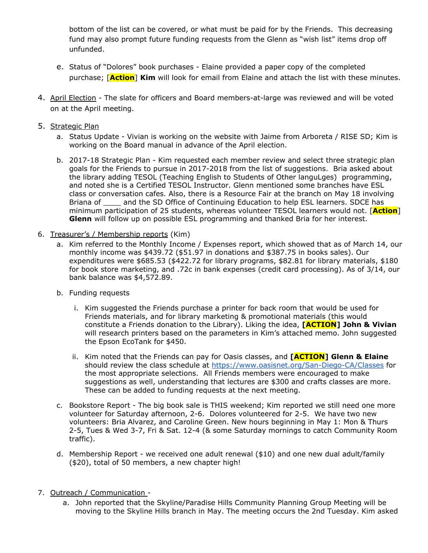bottom of the list can be covered, or what must be paid for by the Friends. This decreasing fund may also prompt future funding requests from the Glenn as "wish list" items drop off unfunded.

- e. Status of "Dolores" book purchases Elaine provided a paper copy of the completed purchase; [**Action**] **Kim** will look for email from Elaine and attach the list with these minutes.
- 4. April Election The slate for officers and Board members-at-large was reviewed and will be voted on at the April meeting.
- 5. Strategic Plan
	- a. Status Update Vivian is working on the website with Jaime from Arboreta / RISE SD; Kim is working on the Board manual in advance of the April election.
	- b. 2017-18 Strategic Plan Kim requested each member review and select three strategic plan goals for the Friends to pursue in 2017-2018 from the list of suggestions. Bria asked about the library adding TESOL (Teaching English to Students of Other languLges) programming, and noted she is a Certified TESOL Instructor. Glenn mentioned some branches have ESL class or conversation cafes. Also, there is a Resource Fair at the branch on May 18 involving Briana of and the SD Office of Continuing Education to help ESL learners. SDCE has minimum participation of 25 students, whereas volunteer TESOL learners would not. [**Action**] **Glenn** will follow up on possible ESL programming and thanked Bria for her interest.
- 6. Treasurer's / Membership reports (Kim)
	- a. Kim referred to the Monthly Income / Expenses report, which showed that as of March 14, our monthly income was \$439.72 (\$51.97 in donations and \$387.75 in books sales). Our expenditures were \$685.53 (\$422.72 for library programs, \$82.81 for library materials, \$180 for book store marketing, and .72c in bank expenses (credit card processing). As of 3/14, our bank balance was \$4,572.89.
	- b. Funding requests
		- i. Kim suggested the Friends purchase a printer for back room that would be used for Friends materials, and for library marketing & promotional materials (this would constitute a Friends donation to the Library). Liking the idea, **[ACTION] John & Vivian** will research printers based on the parameters in Kim's attached memo. John suggested the Epson EcoTank for \$450.
		- ii. Kim noted that the Friends can pay for Oasis classes, and **[ACTION] Glenn & Elaine** should review the class schedule at <https://www.oasisnet.org/San-Diego-CA/Classes> for the most appropriate selections. All Friends members were encouraged to make suggestions as well, understanding that lectures are \$300 and crafts classes are more. These can be added to funding requests at the next meeting.
	- c. Bookstore Report The big book sale is THIS weekend; Kim reported we still need one more volunteer for Saturday afternoon, 2-6. Dolores volunteered for 2-5. We have two new volunteers: Bria Alvarez, and Caroline Green. New hours beginning in May 1: Mon & Thurs 2-5, Tues & Wed 3-7, Fri & Sat. 12-4 (& some Saturday mornings to catch Community Room traffic).
	- d. Membership Report we received one adult renewal (\$10) and one new dual adult/family (\$20), total of 50 members, a new chapter high!
- 7. Outreach / Communication
	- a. John reported that the Skyline/Paradise Hills Community Planning Group Meeting will be moving to the Skyline Hills branch in May. The meeting occurs the 2nd Tuesday. Kim asked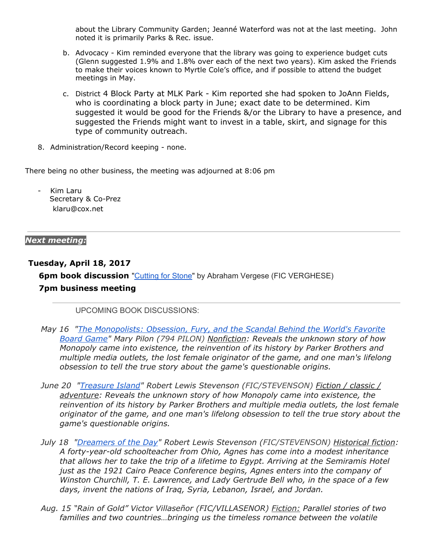about the Library Community Garden; Jeanné Waterford was not at the last meeting. John noted it is primarily Parks & Rec. issue.

- b. Advocacy Kim reminded everyone that the library was going to experience budget cuts (Glenn suggested 1.9% and 1.8% over each of the next two years). Kim asked the Friends to make their voices known to Myrtle Cole's office, and if possible to attend the budget meetings in May.
- c. District 4 Block Party at MLK Park Kim reported she had spoken to JoAnn Fields, who is coordinating a block party in June; exact date to be determined. Kim suggested it would be good for the Friends &/or the Library to have a presence, and suggested the Friends might want to invest in a table, skirt, and signage for this type of community outreach.
- 8. Administration/Record keeping none.

There being no other business, the meeting was adjourned at 8:06 pm

Kim Laru Secretary & Co-Prez klaru@cox.net

#### *Next meeting:*

## **Tuesday, April 18, 2017**

**6pm book discussion** ["Cutting](https://sandiego.bibliocommons.com/item/show/1155191104_cutting_for_stone) for Stone" by Abraham Vergese (FIC VERGHESE) **7pm business meeting**

UPCOMING BOOK DISCUSSIONS:

- *May 16 "The [Monopolists:](https://sandiego.bibliocommons.com/item/show/1357576104_the_monopolists) Obsession, Fury, and the Scandal Behind the World's Favorite Board Game" Mary Pilon (794 PILON) Nonfiction: Reveals the unknown story of how Monopoly came into existence, the reinvention of its history by Parker Brothers and multiple media outlets, the lost female originator of the game, and one man's lifelong obsession to tell the true story about the game's questionable origins.*
- *June 20 ["Treasure](https://sandiego.bibliocommons.com/item/show/154121104_treasure_island) Island" Robert Lewis Stevenson (FIC/STEVENSON) Fiction / classic / adventure: Reveals the unknown story of how Monopoly came into existence, the reinvention of its history by Parker Brothers and multiple media outlets, the lost female originator of the game, and one man's lifelong obsession to tell the true story about the game's questionable origins.*
- *July 18 ["Dreamers](https://sandiego.bibliocommons.com/item/show/1009512104_dreamers_of_the_day) of the Day" Robert Lewis Stevenson (FIC/STEVENSON) Historical fiction: A forty-year-old schoolteacher from Ohio, Agnes has come into a modest inheritance that allows her to take the trip of a lifetime to Egypt. Arriving at the Semiramis Hotel just as the 1921 Cairo Peace Conference begins, Agnes enters into the company of Winston Churchill, T. E. Lawrence, and Lady Gertrude Bell who, in the space of a few days, invent the nations of Iraq, Syria, Lebanon, Israel, and Jordan.*
- *Aug. 15 "Rain of Gold" Victor Villaseñor (FIC/VILLASENOR) Fiction: Parallel stories of two families and two countries…bringing us the timeless romance between the volatile*